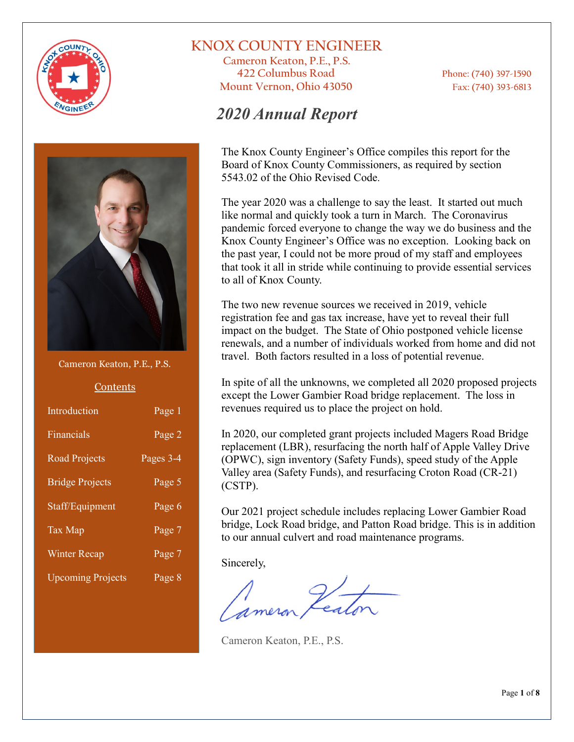



#### Cameron Keaton, P.E., P.S.

#### Contents

| Introduction             | Page 1    |
|--------------------------|-----------|
| Financials               | Page 2    |
| <b>Road Projects</b>     | Pages 3-4 |
| <b>Bridge Projects</b>   | Page 5    |
| Staff/Equipment          | Page 6    |
| <b>Tax Map</b>           | Page 7    |
| <b>Winter Recap</b>      | Page 7    |
| <b>Upcoming Projects</b> | Page 8    |

### **KNOX COUNTY ENGINEER**

**Cameron Keaton, P.E., P.S. 422 Columbus Road Phone: (740) 397-1590 Mount Vernon, Ohio 43050 Fax: (740) 393-6813**

### *2020 Annual Report*

The Knox County Engineer's Office compiles this report for the Board of Knox County Commissioners, as required by section 5543.02 of the Ohio Revised Code.

The year 2020 was a challenge to say the least. It started out much like normal and quickly took a turn in March. The Coronavirus pandemic forced everyone to change the way we do business and the Knox County Engineer's Office was no exception. Looking back on the past year, I could not be more proud of my staff and employees that took it all in stride while continuing to provide essential services to all of Knox County.

The two new revenue sources we received in 2019, vehicle registration fee and gas tax increase, have yet to reveal their full impact on the budget. The State of Ohio postponed vehicle license renewals, and a number of individuals worked from home and did not travel. Both factors resulted in a loss of potential revenue.

In spite of all the unknowns, we completed all 2020 proposed projects except the Lower Gambier Road bridge replacement. The loss in revenues required us to place the project on hold.

In 2020, our completed grant projects included Magers Road Bridge replacement (LBR), resurfacing the north half of Apple Valley Drive (OPWC), sign inventory (Safety Funds), speed study of the Apple Valley area (Safety Funds), and resurfacing Croton Road (CR-21) (CSTP).

Our 2021 project schedule includes replacing Lower Gambier Road bridge, Lock Road bridge, and Patton Road bridge. This is in addition to our annual culvert and road maintenance programs.

Sincerely,

Cameron Keaton, P.E., P.S.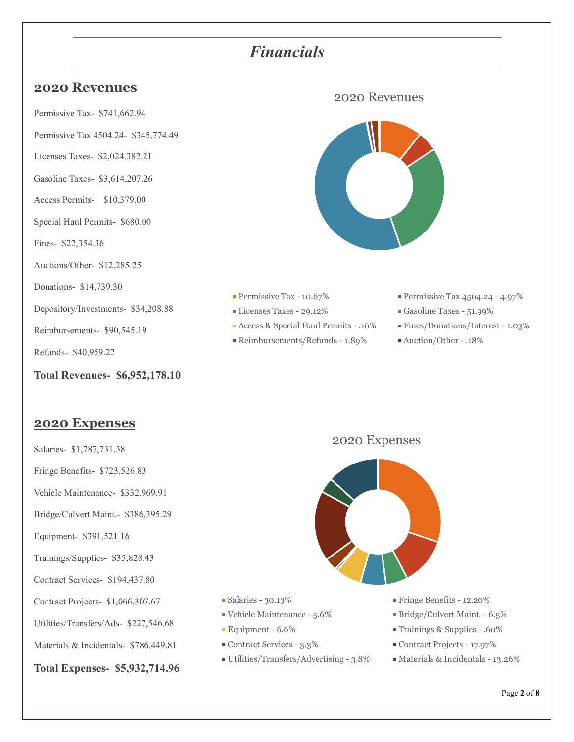### *Financials*

### **2020 Revenues**

Permissive Tax- \$741,662.94

- Permissive Tax 4504.24- \$345,774.49
- Licenses Taxes- \$2,024,382.21
- Gasoline Taxes- \$3,614,207.26
- Access Permits- \$10,379.00
- Special Haul Permits- \$680.00
- Fines- \$22,354.36

Auctions/Other- \$12,285.25

Donations- \$14,739.30

Depository/Investments- \$34,208.88

Reimbursements- \$90,545.19

Refunds- \$40,959.22

**Total Revenues- \$6,952,178.10**

### **2020 Expenses**

- Salaries- \$1,787,731.38
- Fringe Benefits- \$723,526.83
- Vehicle Maintenance- \$332,969.91
- Bridge/Culvert Maint.- \$386,395.29
- Equipment- \$391,521.16
- Trainings/Supplies- \$35,828.43
- Contract Services- \$194,437.80
- Contract Projects- \$1,066,307.67
- Utilities/Transfers/Ads- \$227,546.68
- Materials & Incidentals- \$786,449.81
- **Total Expenses- \$5,932,714.96**



- 
- 
- Access & Special Haul Permits .16% Fines/Donations/Interest 1.03%
- Reimbursements/Refunds 1.89% Auction/Other .18%
- **Permissive Tax 10.67%** Permissive Tax 4504.24 4.97%
- Licenses Taxes 29.12% Gasoline Taxes 51.99%
	-
	-





- 
- 
- 
- 
- Utilities/Transfers/Advertising 3.8% Materials & Incidentals 13.26%
- Salaries 30.13% Fringe Benefits 12.20%
- Vehicle Maintenance 5.6% Bridge/Culvert Maint. 6.5%
- Equipment 6.6% Trainings & Supplies .60%
- Contract Services 3.3% Contract Projects 17.97%
	-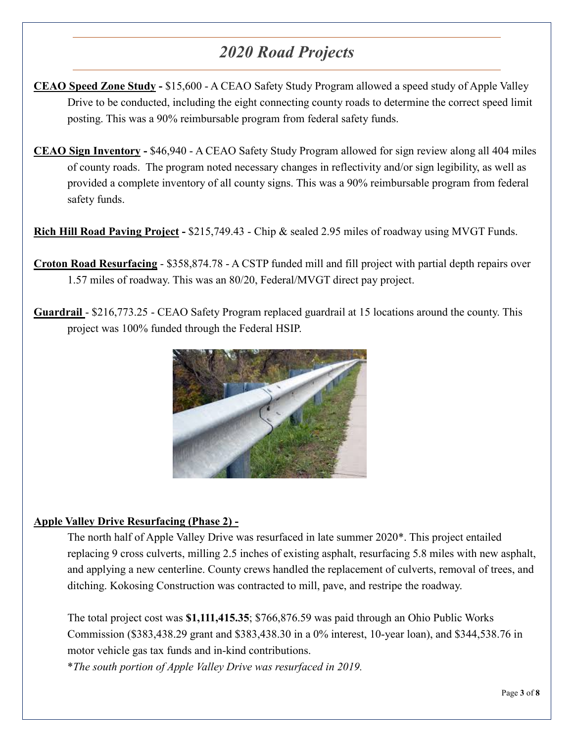# *2020 Road Projects*

- **CEAO Speed Zone Study -** \$15,600 A CEAO Safety Study Program allowed a speed study of Apple Valley Drive to be conducted, including the eight connecting county roads to determine the correct speed limit posting. This was a 90% reimbursable program from federal safety funds.
- **CEAO Sign Inventory -** \$46,940 A CEAO Safety Study Program allowed for sign review along all 404 miles of county roads. The program noted necessary changes in reflectivity and/or sign legibility, as well as provided a complete inventory of all county signs. This was a 90% reimbursable program from federal safety funds.

**Rich Hill Road Paving Project -** \$215,749.43 - Chip & sealed 2.95 miles of roadway using MVGT Funds.

**Croton Road Resurfacing** - \$358,874.78 - A CSTP funded mill and fill project with partial depth repairs over 1.57 miles of roadway. This was an 80/20, Federal/MVGT direct pay project.

**Guardrail** - \$216,773.25 - CEAO Safety Program replaced guardrail at 15 locations around the county. This project was 100% funded through the Federal HSIP.



#### **Apple Valley Drive Resurfacing (Phase 2) -**

The north half of Apple Valley Drive was resurfaced in late summer 2020\*. This project entailed replacing 9 cross culverts, milling 2.5 inches of existing asphalt, resurfacing 5.8 miles with new asphalt, and applying a new centerline. County crews handled the replacement of culverts, removal of trees, and ditching. Kokosing Construction was contracted to mill, pave, and restripe the roadway.

The total project cost was **\$1,111,415.35**; \$766,876.59 was paid through an Ohio Public Works Commission (\$383,438.29 grant and \$383,438.30 in a 0% interest, 10-year loan), and \$344,538.76 in motor vehicle gas tax funds and in-kind contributions.

\**The south portion of Apple Valley Drive was resurfaced in 2019.*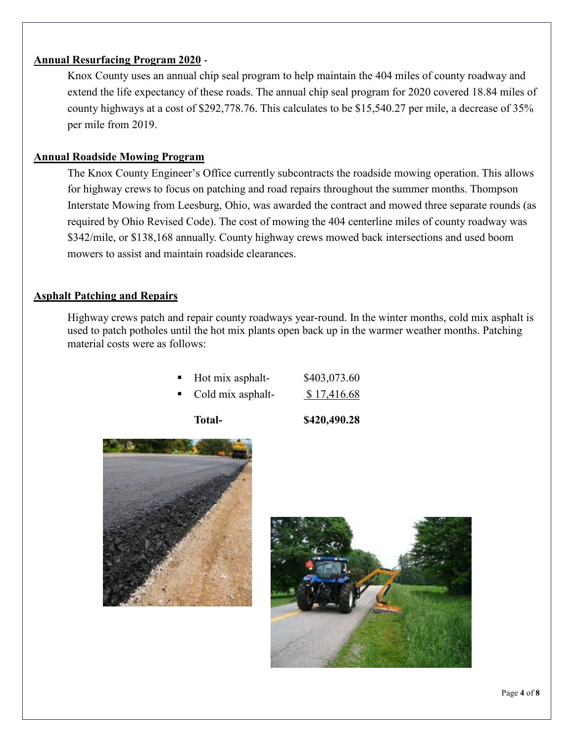#### **Annual Resurfacing Program 2020** -

Knox County uses an annual chip seal program to help maintain the 404 miles of county roadway and extend the life expectancy of these roads. The annual chip seal program for 2020 covered 18.84 miles of county highways at a cost of \$292,778.76. This calculates to be \$15,540.27 per mile, a decrease of 35% per mile from 2019.

#### **Annual Roadside Mowing Program**

The Knox County Engineer's Office currently subcontracts the roadside mowing operation. This allows for highway crews to focus on patching and road repairs throughout the summer months. Thompson Interstate Mowing from Leesburg, Ohio, was awarded the contract and mowed three separate rounds (as required by Ohio Revised Code). The cost of mowing the 404 centerline miles of county roadway was \$342/mile, or \$138,168 annually. County highway crews mowed back intersections and used boom mowers to assist and maintain roadside clearances.

#### **Asphalt Patching and Repairs**

Highway crews patch and repair county roadways year-round. In the winter months, cold mix asphalt is used to patch potholes until the hot mix plants open back up in the warmer weather months. Patching material costs were as follows:

| ٠ | Hot mix asphalt- | \$403,073.60 |
|---|------------------|--------------|
|   |                  |              |

Cold mix asphalt-  $$ 17,416.68$ 

**Total- \$420,490.28**



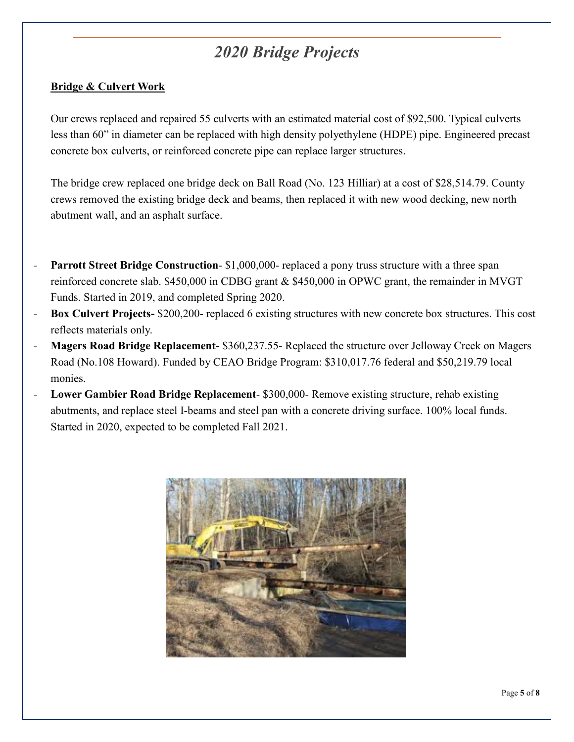## *2020 Bridge Projects*

### **Bridge & Culvert Work**

Our crews replaced and repaired 55 culverts with an estimated material cost of \$92,500. Typical culverts less than 60" in diameter can be replaced with high density polyethylene (HDPE) pipe. Engineered precast concrete box culverts, or reinforced concrete pipe can replace larger structures.

The bridge crew replaced one bridge deck on Ball Road (No. 123 Hilliar) at a cost of \$28,514.79. County crews removed the existing bridge deck and beams, then replaced it with new wood decking, new north abutment wall, and an asphalt surface.

- **Parrott Street Bridge Construction-** \$1,000,000- replaced a pony truss structure with a three span reinforced concrete slab. \$450,000 in CDBG grant & \$450,000 in OPWC grant, the remainder in MVGT Funds. Started in 2019, and completed Spring 2020.
- **Box Culvert Projects-** \$200,200- replaced 6 existing structures with new concrete box structures. This cost reflects materials only.
- **Magers Road Bridge Replacement-** \$360,237.55- Replaced the structure over Jelloway Creek on Magers Road (No.108 Howard). Funded by CEAO Bridge Program: \$310,017.76 federal and \$50,219.79 local monies.
- **Lower Gambier Road Bridge Replacement-** \$300,000- Remove existing structure, rehab existing abutments, and replace steel I-beams and steel pan with a concrete driving surface. 100% local funds. Started in 2020, expected to be completed Fall 2021.

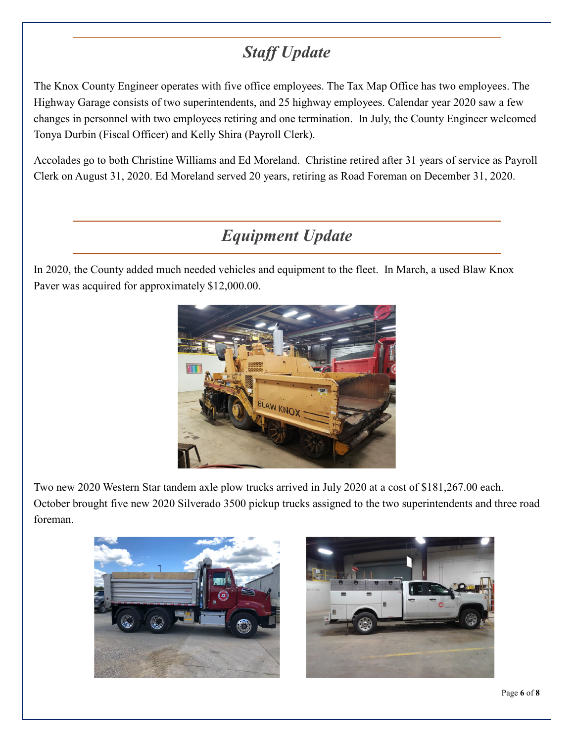# *Staff Update*

The Knox County Engineer operates with five office employees. The Tax Map Office has two employees. The Highway Garage consists of two superintendents, and 25 highway employees. Calendar year 2020 saw a few changes in personnel with two employees retiring and one termination. In July, the County Engineer welcomed Tonya Durbin (Fiscal Officer) and Kelly Shira (Payroll Clerk).

Accolades go to both Christine Williams and Ed Moreland. Christine retired after 31 years of service as Payroll Clerk on August 31, 2020. Ed Moreland served 20 years, retiring as Road Foreman on December 31, 2020.

## *Equipment Update*

In 2020, the County added much needed vehicles and equipment to the fleet. In March, a used Blaw Knox Paver was acquired for approximately \$12,000.00.



Two new 2020 Western Star tandem axle plow trucks arrived in July 2020 at a cost of \$181,267.00 each. October brought five new 2020 Silverado 3500 pickup trucks assigned to the two superintendents and three road foreman.



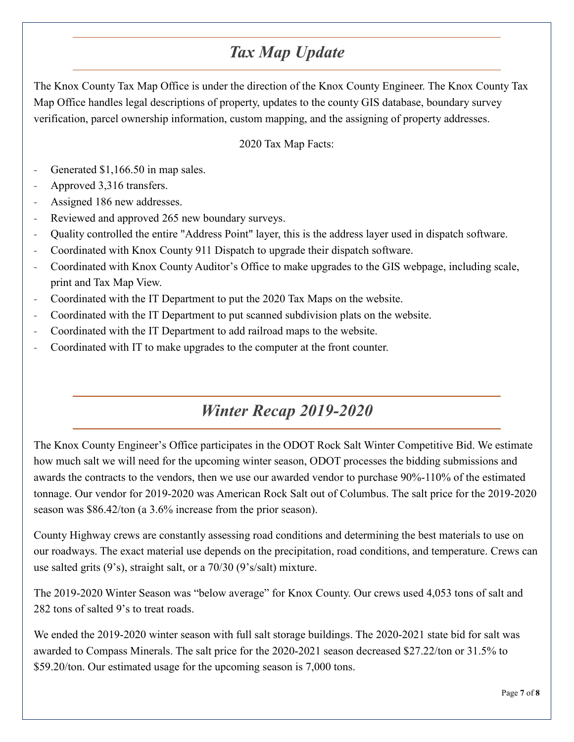## *Tax Map Update*

The Knox County Tax Map Office is under the direction of the Knox County Engineer. The Knox County Tax Map Office handles legal descriptions of property, updates to the county GIS database, boundary survey verification, parcel ownership information, custom mapping, and the assigning of property addresses.

### 2020 Tax Map Facts:

- Generated \$1,166.50 in map sales.
- Approved 3,316 transfers.
- Assigned 186 new addresses.
- Reviewed and approved 265 new boundary surveys.
- Quality controlled the entire "Address Point" layer, this is the address layer used in dispatch software.
- Coordinated with Knox County 911 Dispatch to upgrade their dispatch software.
- Coordinated with Knox County Auditor's Office to make upgrades to the GIS webpage, including scale, print and Tax Map View.
- Coordinated with the IT Department to put the 2020 Tax Maps on the website.
- Coordinated with the IT Department to put scanned subdivision plats on the website.
- Coordinated with the IT Department to add railroad maps to the website.
- Coordinated with IT to make upgrades to the computer at the front counter.

## *Winter Recap 2019-2020*

The Knox County Engineer's Office participates in the ODOT Rock Salt Winter Competitive Bid. We estimate how much salt we will need for the upcoming winter season, ODOT processes the bidding submissions and awards the contracts to the vendors, then we use our awarded vendor to purchase 90%-110% of the estimated tonnage. Our vendor for 2019-2020 was American Rock Salt out of Columbus. The salt price for the 2019-2020 season was \$86.42/ton (a 3.6% increase from the prior season).

County Highway crews are constantly assessing road conditions and determining the best materials to use on our roadways. The exact material use depends on the precipitation, road conditions, and temperature. Crews can use salted grits (9's), straight salt, or a 70/30 (9's/salt) mixture.

The 2019-2020 Winter Season was "below average" for Knox County. Our crews used 4,053 tons of salt and 282 tons of salted 9's to treat roads.

We ended the 2019-2020 winter season with full salt storage buildings. The 2020-2021 state bid for salt was awarded to Compass Minerals. The salt price for the 2020-2021 season decreased \$27.22/ton or 31.5% to \$59.20/ton. Our estimated usage for the upcoming season is 7,000 tons.